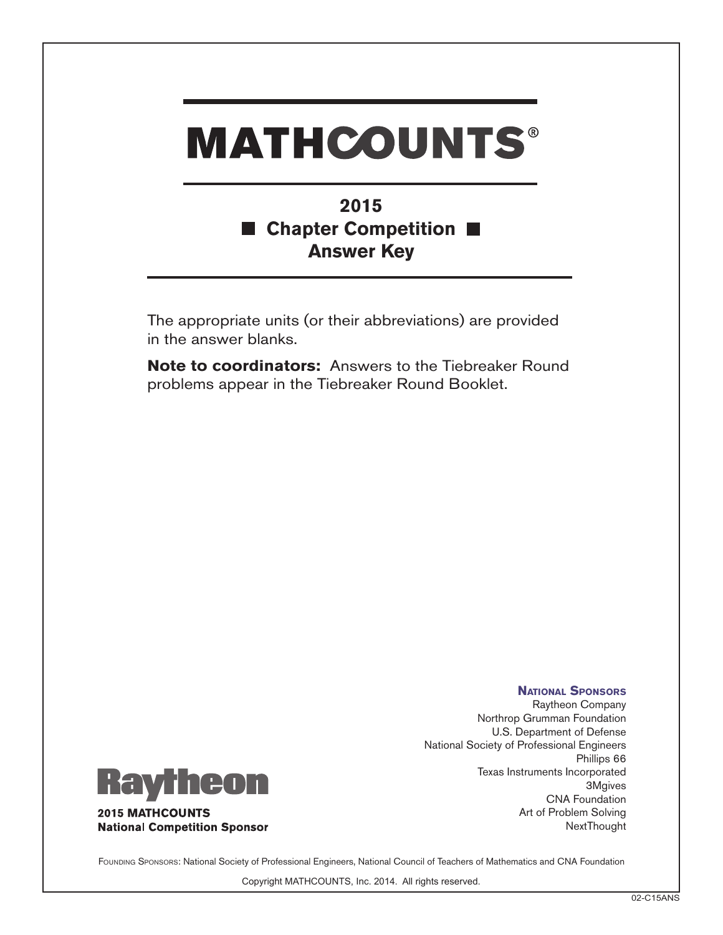## **MATHCOUNTS®**

## **2015 Chapter Competition** l a l **Answer Key**

The appropriate units (or their abbreviations) are provided in the answer blanks.

**Note to coordinators:** Answers to the Tiebreaker Round problems appear in the Tiebreaker Round Booklet.



**2015 MATHCOUNTS National Competition Sponsor** 

**National Sponsors** Raytheon Company Northrop Grumman Foundation U.S. Department of Defense National Society of Professional Engineers Phillips 66 Texas Instruments Incorporated 3Mgives CNA Foundation Art of Problem Solving **NextThought** 

FOUNDING SPONSORS: National Society of Professional Engineers, National Council of Teachers of Mathematics and CNA Foundation

Copyright MATHCOUNTS, Inc. 2014. All rights reserved.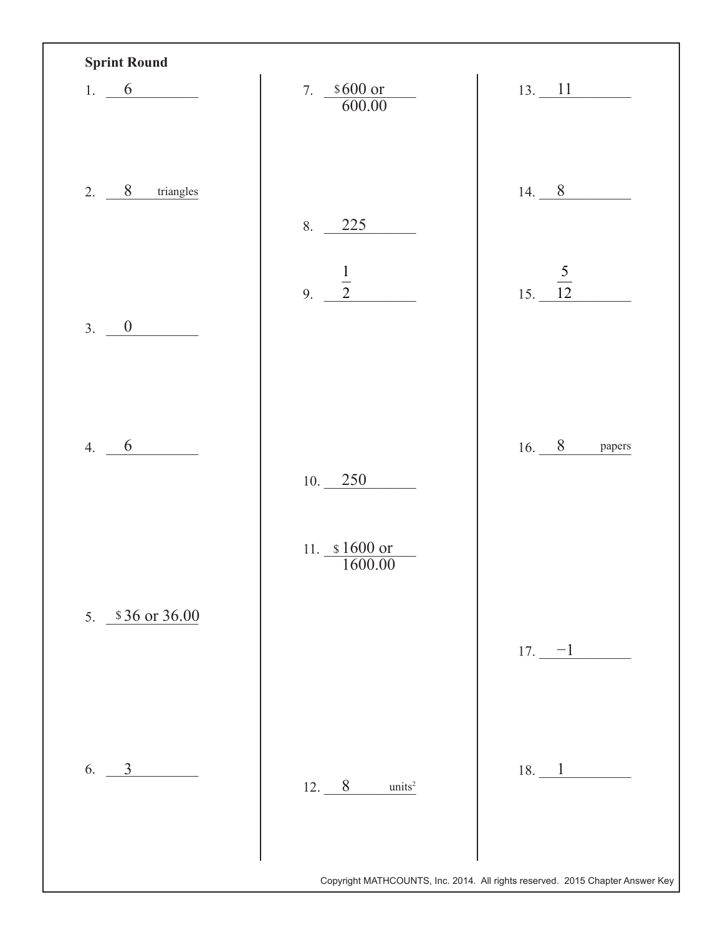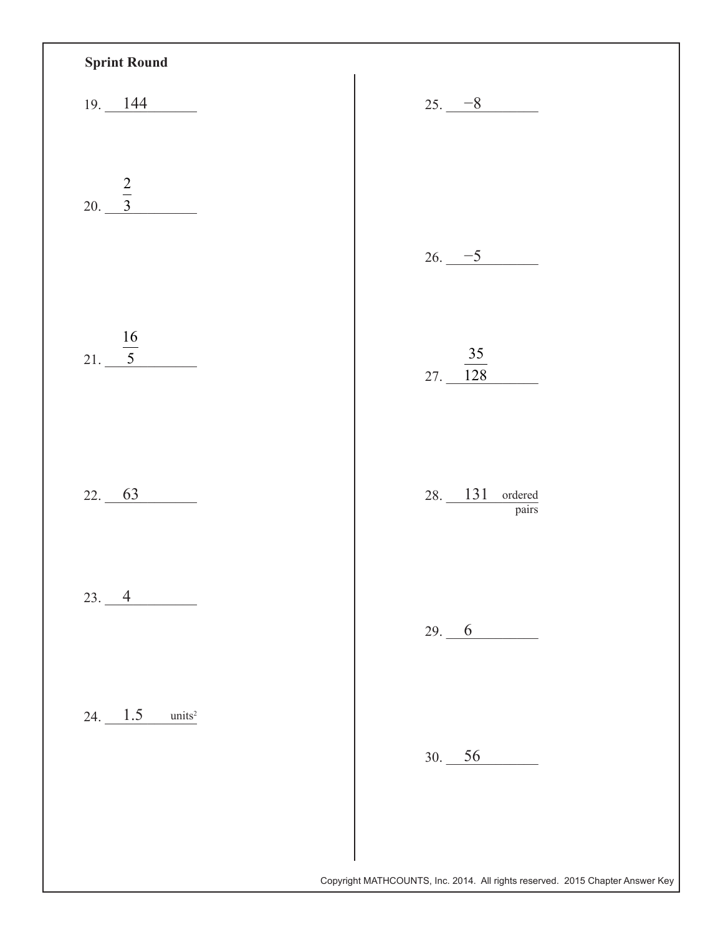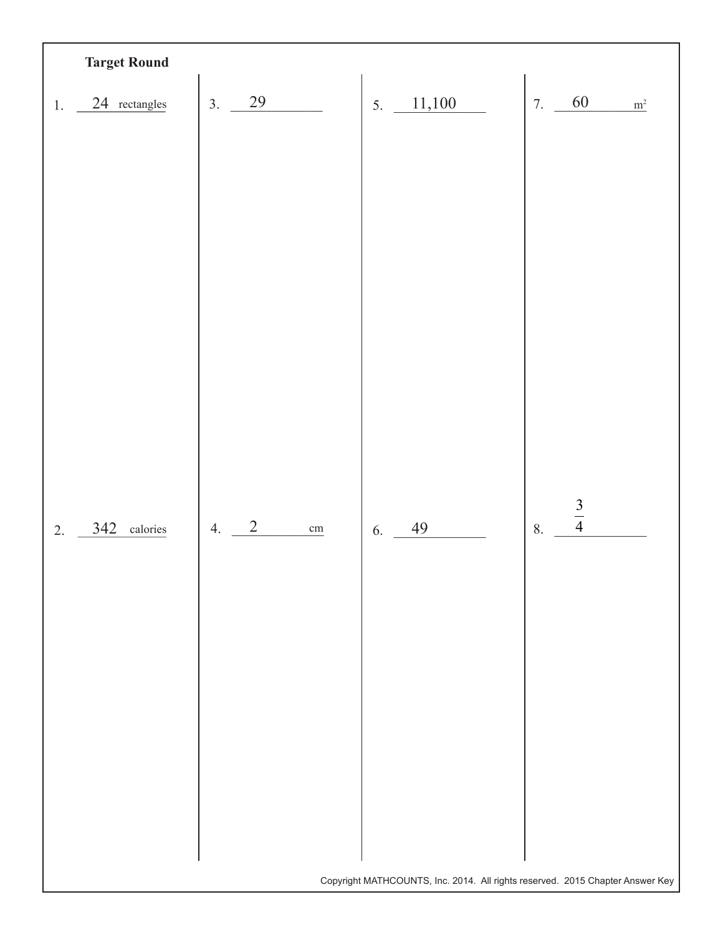| <b>Target Round</b> |                                |                                                                               |                            |
|---------------------|--------------------------------|-------------------------------------------------------------------------------|----------------------------|
| 24 rectangles<br>1. | 29<br>3.                       | 5. $11,100$                                                                   | 60<br>7.<br>m <sup>2</sup> |
|                     |                                |                                                                               |                            |
|                     |                                |                                                                               |                            |
|                     |                                |                                                                               |                            |
|                     |                                |                                                                               |                            |
|                     |                                |                                                                               |                            |
|                     |                                |                                                                               |                            |
|                     |                                |                                                                               |                            |
|                     |                                |                                                                               |                            |
|                     |                                |                                                                               |                            |
|                     |                                |                                                                               |                            |
|                     |                                |                                                                               |                            |
| 342 calories<br>2.  | $\sqrt{2}$<br>4.<br>$\,\rm cm$ | 49<br>6.                                                                      | $\frac{3}{4}$<br>8.        |
|                     |                                |                                                                               |                            |
|                     |                                |                                                                               |                            |
|                     |                                |                                                                               |                            |
|                     |                                |                                                                               |                            |
|                     |                                |                                                                               |                            |
|                     |                                |                                                                               |                            |
|                     |                                |                                                                               |                            |
|                     |                                |                                                                               |                            |
|                     |                                | Copyright MATHCOUNTS, Inc. 2014. All rights reserved. 2015 Chapter Answer Key |                            |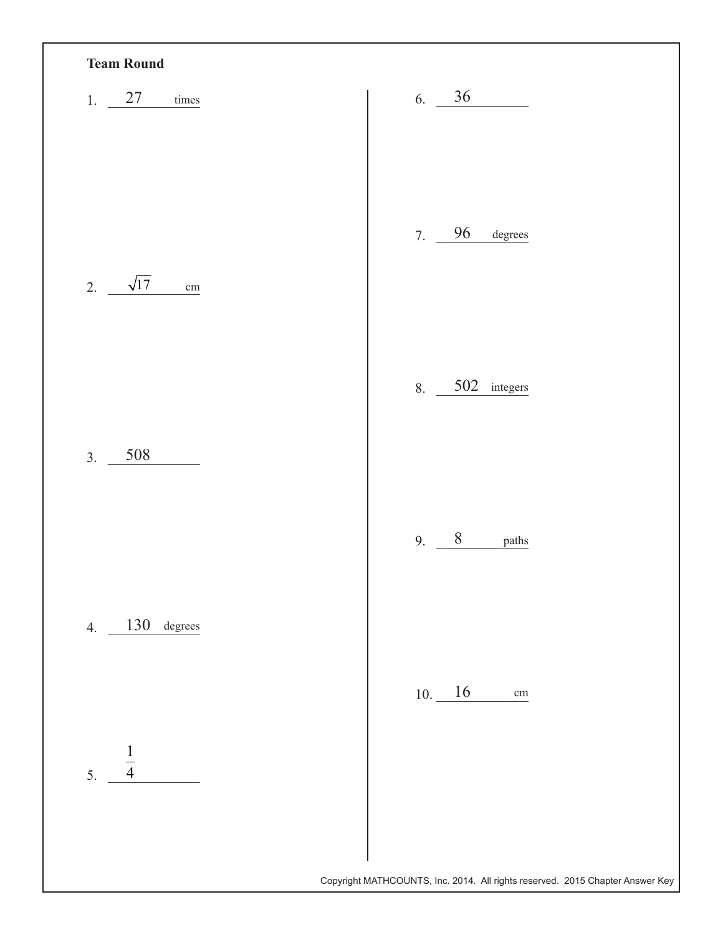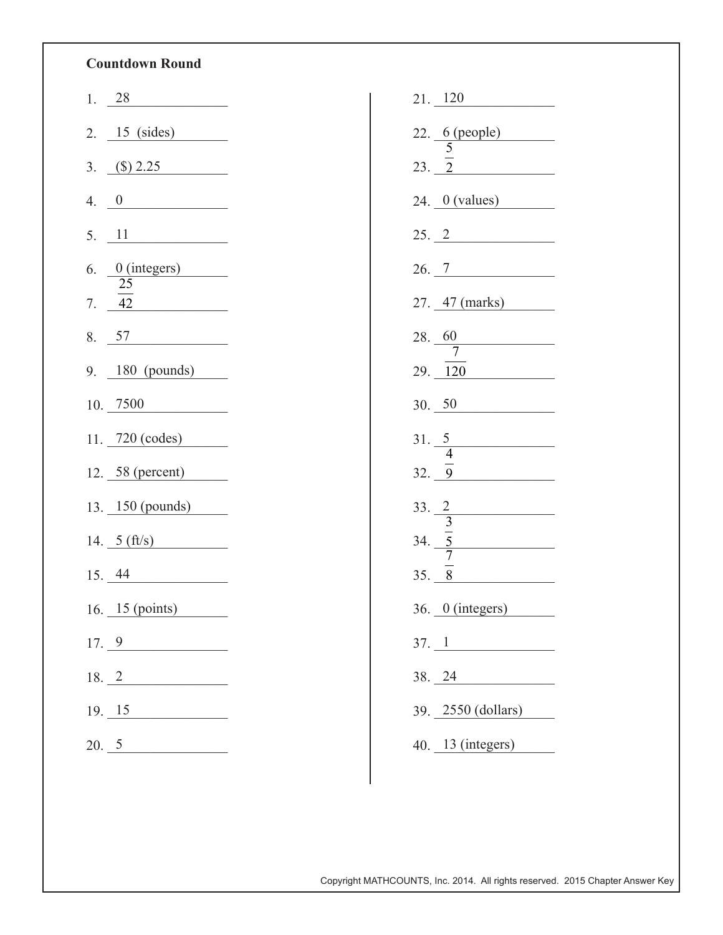## **Countdown Round**

|    | 1. $28$                             |  |
|----|-------------------------------------|--|
|    | $2. \underline{15 \text{ (sides)}}$ |  |
| 3. | $\frac{\text{(\$)}\,2.25}{\text{}}$ |  |
| 4. | $\frac{0}{1}$                       |  |
| 5. | $\overline{11}$                     |  |
| 6. | $\frac{0 \text{ (integers)}}{1}$    |  |
|    | 25<br>7. $42$                       |  |
|    | 8. 57                               |  |
|    | 9. $180$ (pounds)                   |  |
|    | $10. \ \ 7500$                      |  |
|    | 11. $720 \text{ (codes)}$           |  |
|    | 12. 58 (percent)                    |  |
|    | 13. 150 (pounds)                    |  |
|    | 14. $5 (ft/s)$                      |  |
|    | 15.44                               |  |
|    | 16. 15 (points)                     |  |
|    | $17. \underline{9}$                 |  |
|    | 18.2                                |  |
|    | $19. \underline{\hspace{1cm}15}$    |  |
|    | 20.5                                |  |

| $21. \ \underline{\hspace{1em}} 120$             |
|--------------------------------------------------|
|                                                  |
| 22. 6 (people)<br>23. $\frac{5}{2}$              |
| $24.$ $0 \text{ (values)}$                       |
| 25. 2                                            |
| 26.7                                             |
| 27. 47 (marks)                                   |
| 28. $\frac{60}{7}$                               |
| 29. 120                                          |
| 30.50                                            |
| $31. \frac{5}{4}$                                |
| 32. 9                                            |
|                                                  |
| 33. $\frac{2}{\frac{3}{2}}$<br>34. $\frac{5}{7}$ |
| $35. - 8$                                        |
| 36. 0 (integers)                                 |
| $37. \underline{1}$                              |
| 38. 24<br><u> 1990 - Johann Barbara, martxa</u>  |
|                                                  |
| 39. 2550 (dollars)                               |

Copyright MATHCOUNTS, Inc. 2014. All rights reserved. 2015 Chapter Answer Key